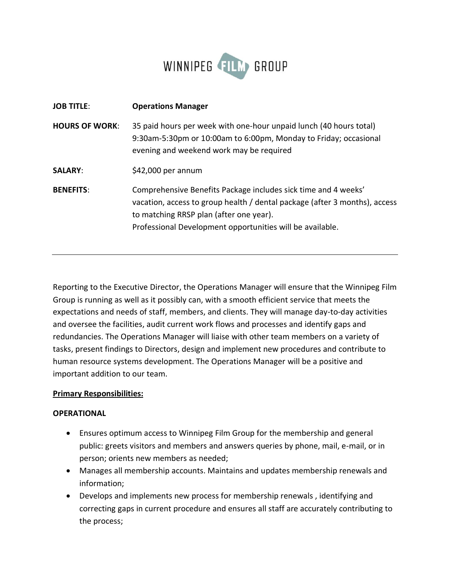

| <b>JOB TITLE:</b>     | <b>Operations Manager</b>                                                                                                                                                                                                                            |
|-----------------------|------------------------------------------------------------------------------------------------------------------------------------------------------------------------------------------------------------------------------------------------------|
| <b>HOURS OF WORK:</b> | 35 paid hours per week with one-hour unpaid lunch (40 hours total)<br>9:30am-5:30pm or 10:00am to 6:00pm, Monday to Friday; occasional<br>evening and weekend work may be required                                                                   |
| <b>SALARY:</b>        | \$42,000 per annum                                                                                                                                                                                                                                   |
| <b>BENEFITS:</b>      | Comprehensive Benefits Package includes sick time and 4 weeks'<br>vacation, access to group health / dental package (after 3 months), access<br>to matching RRSP plan (after one year).<br>Professional Development opportunities will be available. |

Reporting to the Executive Director, the Operations Manager will ensure that the Winnipeg Film Group is running as well as it possibly can, with a smooth efficient service that meets the expectations and needs of staff, members, and clients. They will manage day-to-day activities and oversee the facilities, audit current work flows and processes and identify gaps and redundancies. The Operations Manager will liaise with other team members on a variety of tasks, present findings to Directors, design and implement new procedures and contribute to human resource systems development. The Operations Manager will be a positive and important addition to our team.

#### **Primary Responsibilities:**

#### **OPERATIONAL**

- Ensures optimum access to Winnipeg Film Group for the membership and general public: greets visitors and members and answers queries by phone, mail, e-mail, or in person; orients new members as needed;
- Manages all membership accounts. Maintains and updates membership renewals and information;
- Develops and implements new process for membership renewals , identifying and correcting gaps in current procedure and ensures all staff are accurately contributing to the process;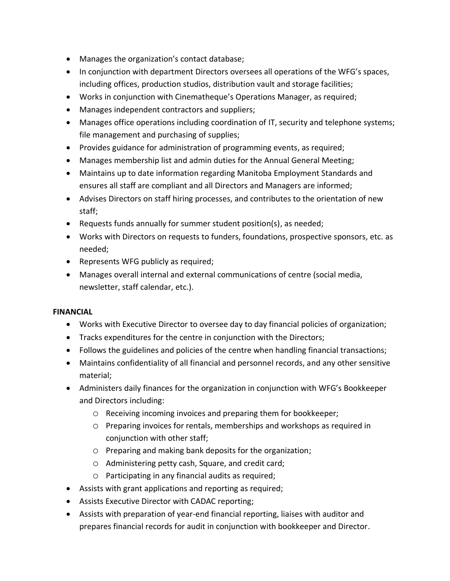- Manages the organization's contact database;
- In conjunction with department Directors oversees all operations of the WFG's spaces, including offices, production studios, distribution vault and storage facilities;
- Works in conjunction with Cinematheque's Operations Manager, as required;
- Manages independent contractors and suppliers;
- Manages office operations including coordination of IT, security and telephone systems; file management and purchasing of supplies;
- Provides guidance for administration of programming events, as required;
- Manages membership list and admin duties for the Annual General Meeting;
- Maintains up to date information regarding Manitoba Employment Standards and ensures all staff are compliant and all Directors and Managers are informed;
- Advises Directors on staff hiring processes, and contributes to the orientation of new staff;
- Requests funds annually for summer student position(s), as needed;
- Works with Directors on requests to funders, foundations, prospective sponsors, etc. as needed;
- Represents WFG publicly as required;
- Manages overall internal and external communications of centre (social media, newsletter, staff calendar, etc.).

# **FINANCIAL**

- Works with Executive Director to oversee day to day financial policies of organization;
- Tracks expenditures for the centre in conjunction with the Directors;
- Follows the guidelines and policies of the centre when handling financial transactions;
- Maintains confidentiality of all financial and personnel records, and any other sensitive material;
- Administers daily finances for the organization in conjunction with WFG's Bookkeeper and Directors including:
	- o Receiving incoming invoices and preparing them for bookkeeper;
	- o Preparing invoices for rentals, memberships and workshops as required in conjunction with other staff;
	- o Preparing and making bank deposits for the organization;
	- o Administering petty cash, Square, and credit card;
	- o Participating in any financial audits as required;
- Assists with grant applications and reporting as required;
- Assists Executive Director with CADAC reporting;
- Assists with preparation of year-end financial reporting, liaises with auditor and prepares financial records for audit in conjunction with bookkeeper and Director.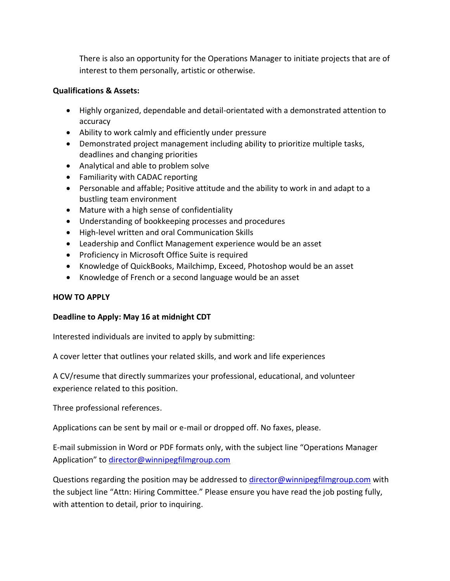There is also an opportunity for the Operations Manager to initiate projects that are of interest to them personally, artistic or otherwise.

### **Qualifications & Assets:**

- Highly organized, dependable and detail-orientated with a demonstrated attention to accuracy
- Ability to work calmly and efficiently under pressure
- Demonstrated project management including ability to prioritize multiple tasks, deadlines and changing priorities
- Analytical and able to problem solve
- Familiarity with CADAC reporting
- Personable and affable; Positive attitude and the ability to work in and adapt to a bustling team environment
- Mature with a high sense of confidentiality
- Understanding of bookkeeping processes and procedures
- High-level written and oral Communication Skills
- Leadership and Conflict Management experience would be an asset
- Proficiency in Microsoft Office Suite is required
- Knowledge of QuickBooks, Mailchimp, Exceed, Photoshop would be an asset
- Knowledge of French or a second language would be an asset

# **HOW TO APPLY**

# **Deadline to Apply: May 16 at midnight CDT**

Interested individuals are invited to apply by submitting:

A cover letter that outlines your related skills, and work and life experiences

A CV/resume that directly summarizes your professional, educational, and volunteer experience related to this position.

Three professional references.

Applications can be sent by mail or e-mail or dropped off. No faxes, please.

E-mail submission in Word or PDF formats only, with the subject line "Operations Manager Application" to [director@winnipegfilmgroup.com](mailto:wfgpresident@gmail.com)

Questions regarding the position may be addressed to [director@winnipegfilmgroup.com](mailto:wfgpresident@gmail.com) with the subject line "Attn: Hiring Committee." Please ensure you have read the job posting fully, with attention to detail, prior to inquiring.